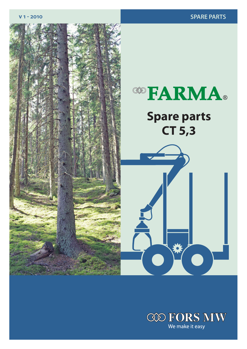

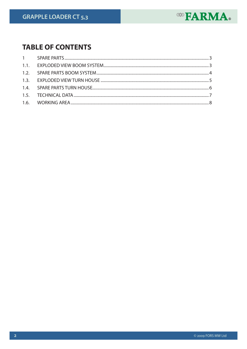

# **TABLE OF CONTENTS**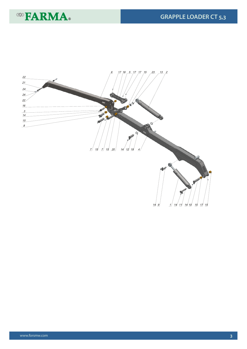

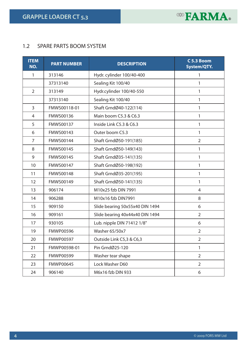**GRAPPLE LOADER CT 5,3**



### 1.2 SPARE PARTS BOOM SYSTEM

| <b>ITEM</b><br>NO. | <b>PART NUMBER</b> | <b>DESCRIPTION</b>              | C 5.3 Boom<br>System/QTY. |
|--------------------|--------------------|---------------------------------|---------------------------|
| 1                  | 313146             | Hydr. cylinder 100/40-400       | 1                         |
|                    | 37313140           | Sealing Kit 100/40              | 1                         |
| $\overline{2}$     | 313149             | Hydr.cylinder 100/40-550        | 1                         |
|                    | 37313140           | Sealing Kit 100/40              | 1                         |
| 3                  | FMWS00118-01       | Shaft GrndØ40-122(114)          | 1                         |
| 4                  | FMWS00136          | Main boom C5.3 & C6.3           | 1                         |
| 5                  | FMWS00137          | Inside Link C5.3 & C6.3         | 1                         |
| 6                  | FMWS00143          | Outer boom C5.3                 | 1                         |
| 7                  | FMWS00144          | Shaft GrndØ50-191(185)          | $\overline{2}$            |
| 8                  | <b>FMWS00145</b>   | Shaft GrndØ50-149(143)          | 1                         |
| 9                  | <b>FMWS00145</b>   | Shaft GrndØ35-141(135)          | 1                         |
| 10                 | FMWS00147          | Shaft GrndØ50-198(192)          | 1                         |
| 11                 | <b>FMWS00148</b>   | Shaft GrndØ35-201(195)          | 1                         |
| 12                 | FMWS00149          | Shaft GrndØ50-141(135)          | 1                         |
| 13                 | 906174             | M10x25 fzb DIN 7991             | 4                         |
| 14                 | 906288             | M10x16 fzb DIN7991              | 8                         |
| 15                 | 909150             | Slide bearing 50x55x40 DIN 1494 | 6                         |
| 16                 | 909161             | Slide bearing 40x44x40 DIN 1494 | $\overline{2}$            |
| 17                 | 930105             | Lub. nipple DIN 71412 1/8"      | 6                         |
| 19                 | <b>FMWP00596</b>   | <b>Washer 65/50x7</b>           | $\overline{2}$            |
| 20                 | <b>FMWP00597</b>   | Outside Link C5,3 & C6,3        | $\overline{2}$            |
| 21                 | FMWP00598-01       | Pin GrndØ25-120                 | 1                         |
| 22                 | <b>FMWP00599</b>   | Washer tear shape               | $\overline{2}$            |
| 23                 | <b>FMWP00645</b>   | Lock Washer D60                 | $\overline{2}$            |
| 24                 | 906140             | M6x16 fzb DIN 933               | 6                         |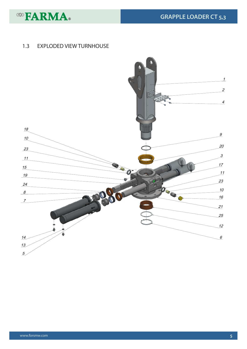

## 1.3 EXPLODED VIEW TURNHOUSE

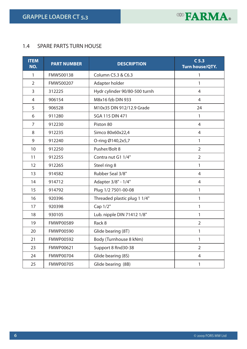**GRAPPLE LOADER CT 5,3**



#### 1.4 SPARE PARTS TURN HOUSE

| <b>ITEM</b><br>NO. | <b>PART NUMBER</b> | <b>DESCRIPTION</b>            | C <sub>5.3</sub><br><b>Turn house/QTY.</b> |
|--------------------|--------------------|-------------------------------|--------------------------------------------|
| 1                  | <b>FMWS00138</b>   | Column C5.3 & C6.3            | 1                                          |
| $\overline{2}$     | <b>FMWS00207</b>   | Adapter holder                | 1                                          |
| $\overline{3}$     | 312225             | Hydr cylinder 90/80-500 turnh | $\overline{4}$                             |
| $\overline{4}$     | 906154             | M8x16 fzb DIN 933             | $\overline{4}$                             |
| 5                  | 906528             | M10x35 DIN 912/12.9 Grade     | 24                                         |
| 6                  | 911280             | <b>SGA 115 DIN 471</b>        | $\mathbf{1}$                               |
| $\overline{7}$     | 912230             | Piston 80                     | $\overline{4}$                             |
| 8                  | 912235             | Simco 80x60x22,4              | $\overline{4}$                             |
| 9                  | 912240             | O-ring Ø140,2x5,7             | $\mathbf{1}$                               |
| 10                 | 912250             | Pusher/Bolt 8                 | $\overline{2}$                             |
| 11                 | 912255             | Contra nut G1 1/4"            | $\overline{2}$                             |
| 12                 | 912265             | Steel ring 8                  | $\mathbf{1}$                               |
| 13                 | 914582             | Rubber Seal 3/8"              | $\overline{4}$                             |
| 14                 | 914712             | Adapter 3/8" - 1/4"           | 4                                          |
| 15                 | 914792             | Plug 1/2 7501-00-08           | $\mathbf{1}$                               |
| 16                 | 920396             | Threaded plastic plug 1 1/4"  | $\mathbf{1}$                               |
| 17                 | 920398             | Cap 1/2"                      | $\mathbf{1}$                               |
| 18                 | 930105             | Lub. nipple DIN 71412 1/8"    | $\mathbf{1}$                               |
| 19                 | <b>FMWP00589</b>   | Rack 8                        | $\overline{2}$                             |
| 20                 | <b>FMWP00590</b>   | Glide bearing (8T)            | $\mathbf{1}$                               |
| 21                 | <b>FMWP00592</b>   | Body (Turnhouse 8 kNm)        | $\mathbf{1}$                               |
| 23                 | FMWP00621          | Support 8 Rnd30-38            | $\overline{2}$                             |
| 24                 | <b>FMWP00704</b>   | Glide bearing (8S)            | $\overline{4}$                             |
| 25                 | <b>FMWP00705</b>   | Glide bearing (8B)            | $\mathbf{1}$                               |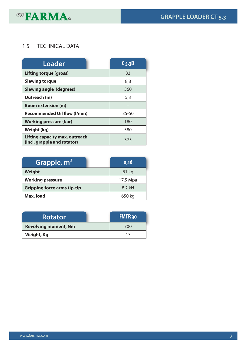

## 1.5 TECHNICAL DATA

| Loader                                                               | C <sub>5,3</sub> D |
|----------------------------------------------------------------------|--------------------|
| <b>Lifting torque (gross)</b>                                        | 33                 |
| <b>Slewing torque</b>                                                | 8,8                |
| <b>Slewing angle (degrees)</b>                                       | 360                |
| Outreach (m)                                                         | 5,3                |
| <b>Boom extension (m)</b>                                            |                    |
| <b>Recommended Oil flow (I/min)</b>                                  | $35 - 50$          |
| <b>Working pressure (bar)</b>                                        | 180                |
| Weight (kg)                                                          | 580                |
| <b>Lifting capacity max. outreach</b><br>(incl. grapple and rotator) | 375                |

| Grapple, m <sup>2</sup>            | 0,16     |
|------------------------------------|----------|
| Weight                             | 61 kg    |
| <b>Working pressure</b>            | 17.5 Mpa |
| <b>Gripping force arms tip-tip</b> | 8.2 kN   |
| Max. load                          | 650 kg   |

| <b>Rotator</b>              | <b>FMTR30</b> |
|-----------------------------|---------------|
| <b>Revolving moment, Nm</b> | 700           |
| Weight, Kg                  |               |